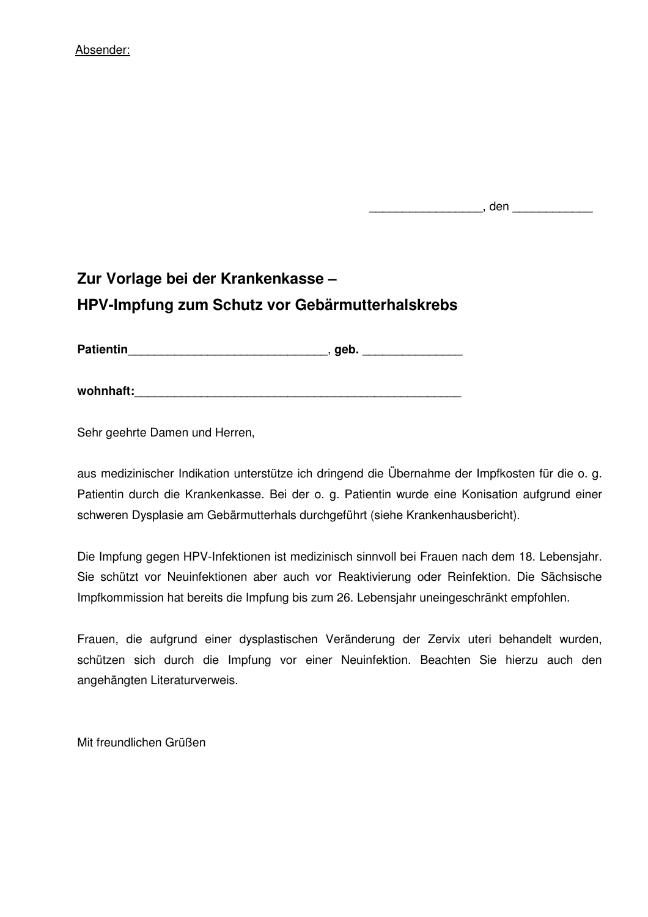## Absender:

\_\_\_\_\_\_\_\_\_\_, den \_\_\_\_\_\_\_\_\_\_\_\_\_\_\_\_\_

## **Zur Vorlage bei der Krankenkasse – HPV-Impfung zum Schutz vor Gebärmutterhalskrebs**

Patientin and a set of the set of the set of the set of the set of the set of the set of the set of the set of the set of the set of the set of the set of the set of the set of the set of the set of the set of the set of t

**wohnhaft:**\_\_\_\_\_\_\_\_\_\_\_\_\_\_\_\_\_\_\_\_\_\_\_\_\_\_\_\_\_\_\_\_\_\_\_\_\_\_\_\_\_\_\_\_\_\_\_\_\_

Sehr geehrte Damen und Herren,

aus medizinischer Indikation unterstütze ich dringend die Übernahme der Impfkosten für die o. g. Patientin durch die Krankenkasse. Bei der o. g. Patientin wurde eine Konisation aufgrund einer schweren Dysplasie am Gebärmutterhals durchgeführt (siehe Krankenhausbericht).

Die Impfung gegen HPV-Infektionen ist medizinisch sinnvoll bei Frauen nach dem 18. Lebensjahr. Sie schützt vor Neuinfektionen aber auch vor Reaktivierung oder Reinfektion. Die Sächsische Impfkommission hat bereits die Impfung bis zum 26. Lebensjahr uneingeschränkt empfohlen.

Frauen, die aufgrund einer dysplastischen Veränderung der Zervix uteri behandelt wurden, schützen sich durch die Impfung vor einer Neuinfektion. Beachten Sie hierzu auch den angehängten Literaturverweis.

Mit freundlichen Grüßen